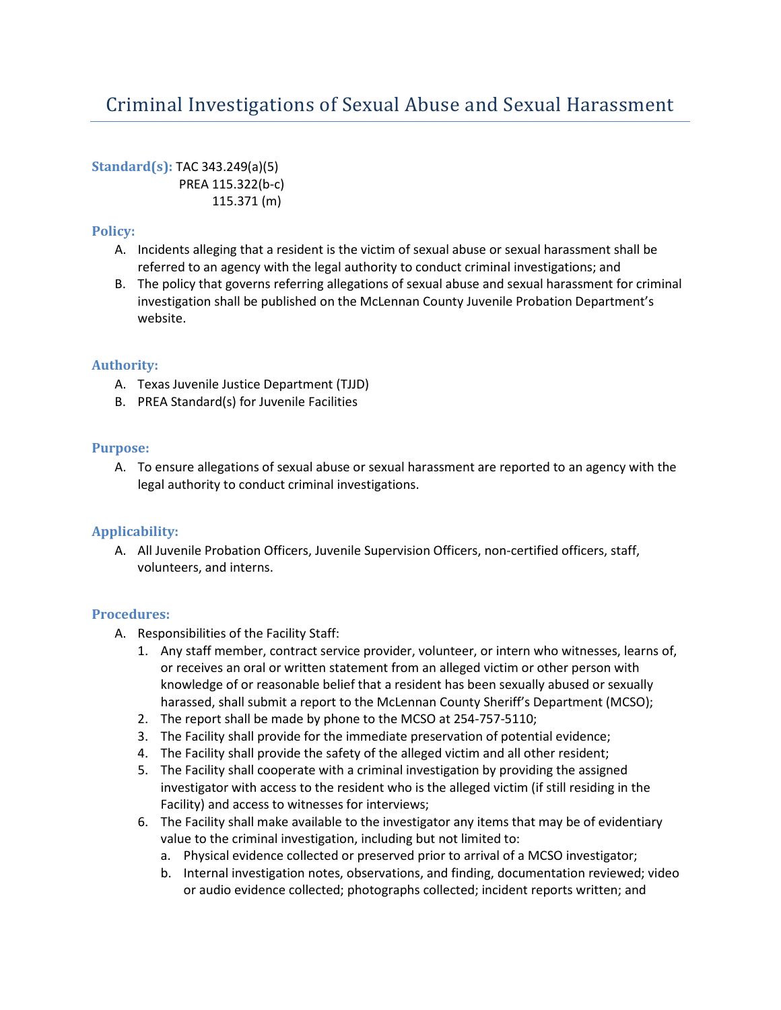# Criminal Investigations of Sexual Abuse and Sexual Harassment

**Standard(s):** TAC 343.249(a)(5) PREA 115.322(b-c) 115.371 (m)

## **Policy:**

- A. Incidents alleging that a resident is the victim of sexual abuse or sexual harassment shall be referred to an agency with the legal authority to conduct criminal investigations; and
- B. The policy that governs referring allegations of sexual abuse and sexual harassment for criminal investigation shall be published on the McLennan County Juvenile Probation Department's website.

### **Authority:**

- A. Texas Juvenile Justice Department (TJJD)
- B. PREA Standard(s) for Juvenile Facilities

#### **Purpose:**

A. To ensure allegations of sexual abuse or sexual harassment are reported to an agency with the legal authority to conduct criminal investigations.

#### **Applicability:**

A. All Juvenile Probation Officers, Juvenile Supervision Officers, non-certified officers, staff, volunteers, and interns.

#### **Procedures:**

- A. Responsibilities of the Facility Staff:
	- 1. Any staff member, contract service provider, volunteer, or intern who witnesses, learns of, or receives an oral or written statement from an alleged victim or other person with knowledge of or reasonable belief that a resident has been sexually abused or sexually harassed, shall submit a report to the McLennan County Sheriff's Department (MCSO);
	- 2. The report shall be made by phone to the MCSO at 254-757-5110;
	- 3. The Facility shall provide for the immediate preservation of potential evidence;
	- 4. The Facility shall provide the safety of the alleged victim and all other resident;
	- 5. The Facility shall cooperate with a criminal investigation by providing the assigned investigator with access to the resident who is the alleged victim (if still residing in the Facility) and access to witnesses for interviews;
	- 6. The Facility shall make available to the investigator any items that may be of evidentiary value to the criminal investigation, including but not limited to:
		- a. Physical evidence collected or preserved prior to arrival of a MCSO investigator;
		- b. Internal investigation notes, observations, and finding, documentation reviewed; video or audio evidence collected; photographs collected; incident reports written; and